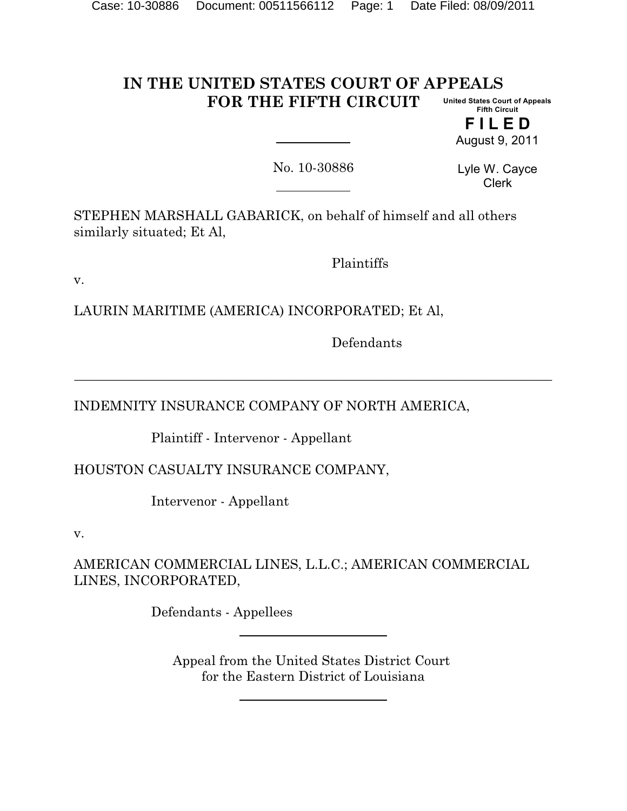#### **IN THE UNITED STATES COURT OF APPEALS FOR THE FIFTH CIRCUIT United States Court of Appeals Fifth Circuit**

**F I L E D** August 9, 2011

No. 10-30886

**\_\_\_\_\_\_\_\_\_\_\_\_\_\_\_\_\_\_\_\_\_\_\_\_\_\_\_\_\_\_\_\_\_\_\_\_\_\_\_\_\_\_\_\_\_\_\_\_\_\_\_\_\_\_\_\_\_\_\_\_\_\_\_\_\_\_\_\_\_\_\_\_**

Lyle W. Cayce Clerk

STEPHEN MARSHALL GABARICK, on behalf of himself and all others similarly situated; Et Al,

Plaintiffs

v.

LAURIN MARITIME (AMERICA) INCORPORATED; Et Al,

Defendants

INDEMNITY INSURANCE COMPANY OF NORTH AMERICA,

Plaintiff - Intervenor - Appellant

HOUSTON CASUALTY INSURANCE COMPANY,

Intervenor - Appellant

v.

AMERICAN COMMERCIAL LINES, L.L.C.; AMERICAN COMMERCIAL LINES, INCORPORATED,

Defendants - Appellees

Appeal from the United States District Court for the Eastern District of Louisiana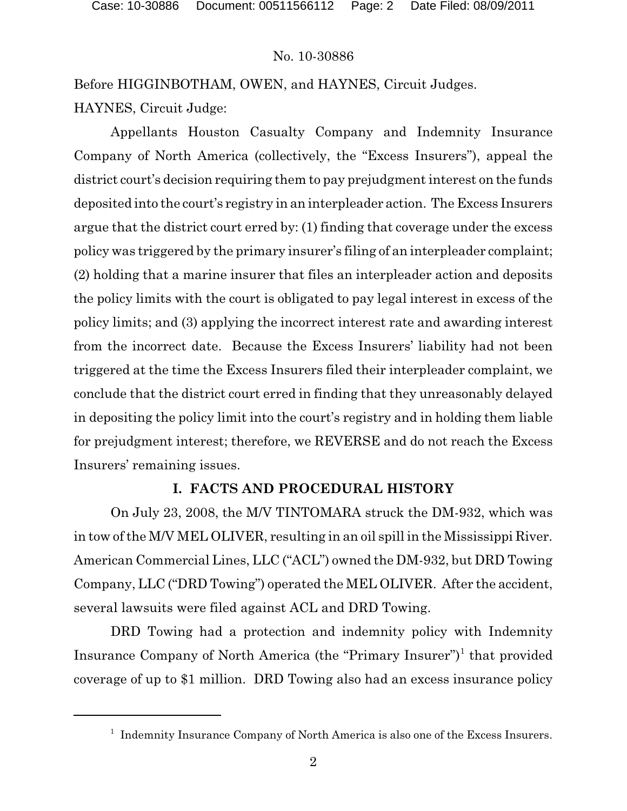Before HIGGINBOTHAM, OWEN, and HAYNES, Circuit Judges. HAYNES, Circuit Judge:

Appellants Houston Casualty Company and Indemnity Insurance Company of North America (collectively, the "Excess Insurers"), appeal the district court's decision requiring them to pay prejudgment interest on the funds deposited into the court's registry in an interpleader action. The Excess Insurers argue that the district court erred by: (1) finding that coverage under the excess policy was triggered by the primary insurer's filing of an interpleader complaint; (2) holding that a marine insurer that files an interpleader action and deposits the policy limits with the court is obligated to pay legal interest in excess of the policy limits; and (3) applying the incorrect interest rate and awarding interest from the incorrect date. Because the Excess Insurers' liability had not been triggered at the time the Excess Insurers filed their interpleader complaint, we conclude that the district court erred in finding that they unreasonably delayed in depositing the policy limit into the court's registry and in holding them liable for prejudgment interest; therefore, we REVERSE and do not reach the Excess Insurers' remaining issues.

## **I. FACTS AND PROCEDURAL HISTORY**

On July 23, 2008, the M/V TINTOMARA struck the DM-932, which was in tow of the M/V MEL OLIVER, resulting in an oil spill in the Mississippi River. American Commercial Lines, LLC ("ACL") owned the DM-932, but DRD Towing Company, LLC ("DRD Towing") operated the MEL OLIVER. After the accident, several lawsuits were filed against ACL and DRD Towing.

DRD Towing had a protection and indemnity policy with Indemnity Insurance Company of North America (the "Primary Insurer")<sup>1</sup> that provided coverage of up to \$1 million. DRD Towing also had an excess insurance policy

<sup>&</sup>lt;sup>1</sup> Indemnity Insurance Company of North America is also one of the Excess Insurers.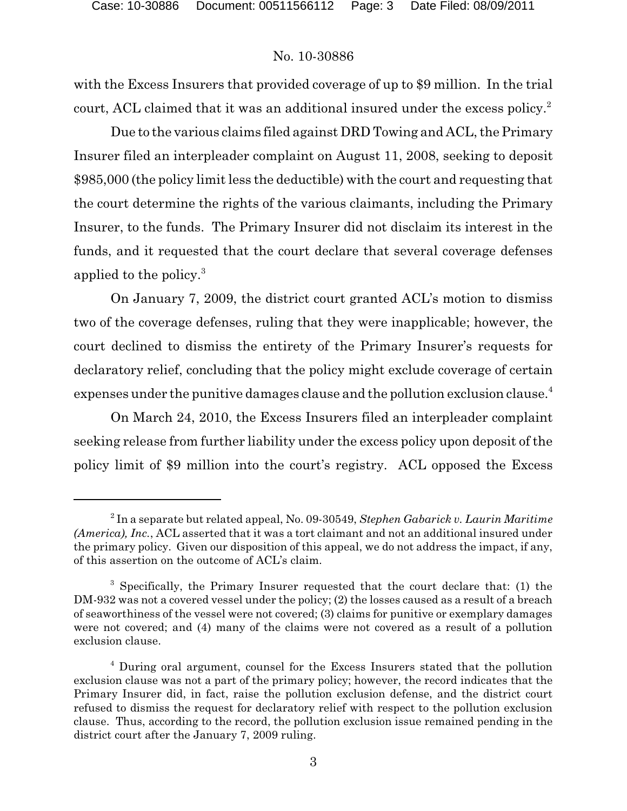with the Excess Insurers that provided coverage of up to \$9 million. In the trial court, ACL claimed that it was an additional insured under the excess policy.<sup>2</sup>

Due to the various claims filed against DRD Towing and ACL, the Primary Insurer filed an interpleader complaint on August 11, 2008, seeking to deposit \$985,000 (the policy limit less the deductible) with the court and requesting that the court determine the rights of the various claimants, including the Primary Insurer, to the funds. The Primary Insurer did not disclaim its interest in the funds, and it requested that the court declare that several coverage defenses applied to the policy.<sup>3</sup>

On January 7, 2009, the district court granted ACL's motion to dismiss two of the coverage defenses, ruling that they were inapplicable; however, the court declined to dismiss the entirety of the Primary Insurer's requests for declaratory relief, concluding that the policy might exclude coverage of certain expenses under the punitive damages clause and the pollution exclusion clause.<sup>4</sup>

On March 24, 2010, the Excess Insurers filed an interpleader complaint seeking release from further liability under the excess policy upon deposit of the policy limit of \$9 million into the court's registry. ACL opposed the Excess

 $^2$  In a separate but related appeal, No. 09-30549, *Stephen Gabarick v. Laurin Maritime (America), Inc.*, ACL asserted that it was a tort claimant and not an additional insured under the primary policy. Given our disposition of this appeal, we do not address the impact, if any, of this assertion on the outcome of ACL's claim.

<sup>&</sup>lt;sup>3</sup> Specifically, the Primary Insurer requested that the court declare that: (1) the DM-932 was not a covered vessel under the policy; (2) the losses caused as a result of a breach of seaworthiness of the vessel were not covered; (3) claims for punitive or exemplary damages were not covered; and (4) many of the claims were not covered as a result of a pollution exclusion clause.

<sup>&</sup>lt;sup>4</sup> During oral argument, counsel for the Excess Insurers stated that the pollution exclusion clause was not a part of the primary policy; however, the record indicates that the Primary Insurer did, in fact, raise the pollution exclusion defense, and the district court refused to dismiss the request for declaratory relief with respect to the pollution exclusion clause. Thus, according to the record, the pollution exclusion issue remained pending in the district court after the January 7, 2009 ruling.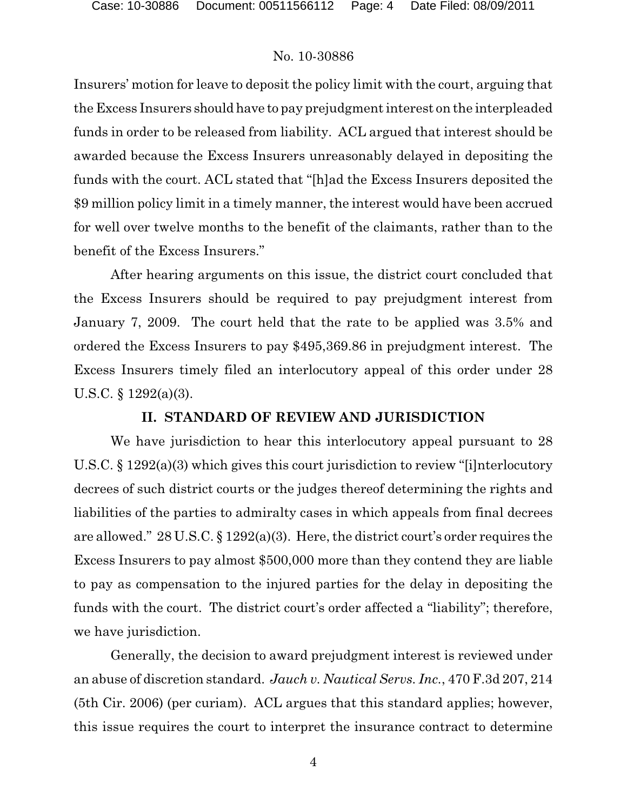Insurers' motion for leave to deposit the policy limit with the court, arguing that the Excess Insurers should have to pay prejudgment interest on the interpleaded funds in order to be released from liability. ACL argued that interest should be awarded because the Excess Insurers unreasonably delayed in depositing the funds with the court. ACL stated that "[h]ad the Excess Insurers deposited the \$9 million policy limit in a timely manner, the interest would have been accrued for well over twelve months to the benefit of the claimants, rather than to the benefit of the Excess Insurers."

After hearing arguments on this issue, the district court concluded that the Excess Insurers should be required to pay prejudgment interest from January 7, 2009. The court held that the rate to be applied was 3.5% and ordered the Excess Insurers to pay \$495,369.86 in prejudgment interest. The Excess Insurers timely filed an interlocutory appeal of this order under 28 U.S.C. § 1292(a)(3).

## **II. STANDARD OF REVIEW AND JURISDICTION**

We have jurisdiction to hear this interlocutory appeal pursuant to 28 U.S.C. § 1292(a)(3) which gives this court jurisdiction to review "[i]nterlocutory decrees of such district courts or the judges thereof determining the rights and liabilities of the parties to admiralty cases in which appeals from final decrees are allowed." 28 U.S.C. § 1292(a)(3). Here, the district court's order requires the Excess Insurers to pay almost \$500,000 more than they contend they are liable to pay as compensation to the injured parties for the delay in depositing the funds with the court. The district court's order affected a "liability"; therefore, we have jurisdiction.

Generally, the decision to award prejudgment interest is reviewed under an abuse of discretion standard. *Jauch v. Nautical Servs. Inc.*, 470 F.3d 207, 214 (5th Cir. 2006) (per curiam). ACL argues that this standard applies; however, this issue requires the court to interpret the insurance contract to determine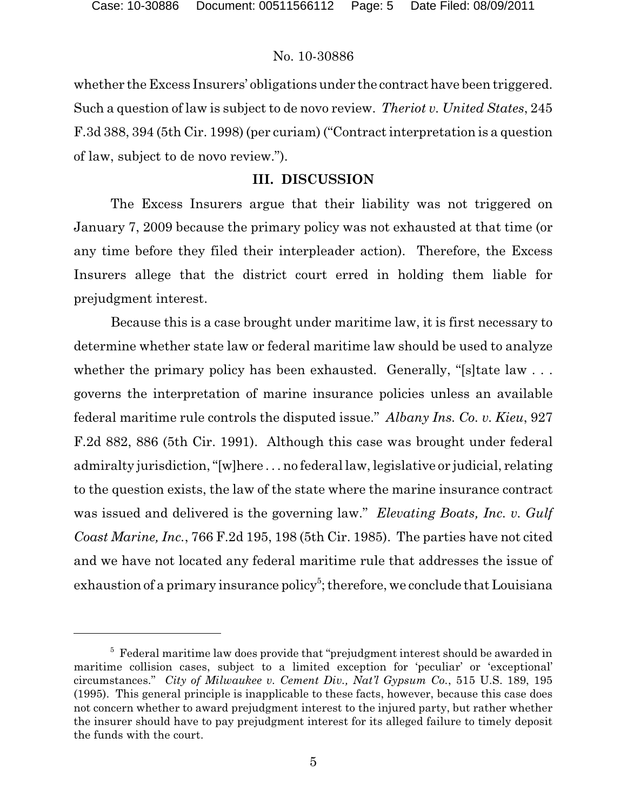whether the Excess Insurers' obligations under the contract have been triggered. Such a question of law is subject to de novo review. *Theriot v. United States*, 245 F.3d 388, 394 (5th Cir. 1998) (per curiam) ("Contract interpretation is a question of law, subject to de novo review.").

## **III. DISCUSSION**

The Excess Insurers argue that their liability was not triggered on January 7, 2009 because the primary policy was not exhausted at that time (or any time before they filed their interpleader action). Therefore, the Excess Insurers allege that the district court erred in holding them liable for prejudgment interest.

Because this is a case brought under maritime law, it is first necessary to determine whether state law or federal maritime law should be used to analyze whether the primary policy has been exhausted. Generally, "[s] tate law ... governs the interpretation of marine insurance policies unless an available federal maritime rule controls the disputed issue." *Albany Ins. Co. v. Kieu*, 927 F.2d 882, 886 (5th Cir. 1991). Although this case was brought under federal admiralty jurisdiction,"[w]here . . . no federal law, legislative or judicial, relating to the question exists, the law of the state where the marine insurance contract was issued and delivered is the governing law." *Elevating Boats, Inc. v. Gulf Coast Marine, Inc.*, 766 F.2d 195, 198 (5th Cir. 1985). The parties have not cited and we have not located any federal maritime rule that addresses the issue of exhaustion of a primary insurance policy<sup>5</sup>; therefore, we conclude that Louisiana

 $5$  Federal maritime law does provide that "prejudgment interest should be awarded in maritime collision cases, subject to a limited exception for 'peculiar' or 'exceptional' circumstances." *City of Milwaukee v. Cement Div., Nat'l Gypsum Co.*, 515 U.S. 189, 195 (1995). This general principle is inapplicable to these facts, however, because this case does not concern whether to award prejudgment interest to the injured party, but rather whether the insurer should have to pay prejudgment interest for its alleged failure to timely deposit the funds with the court.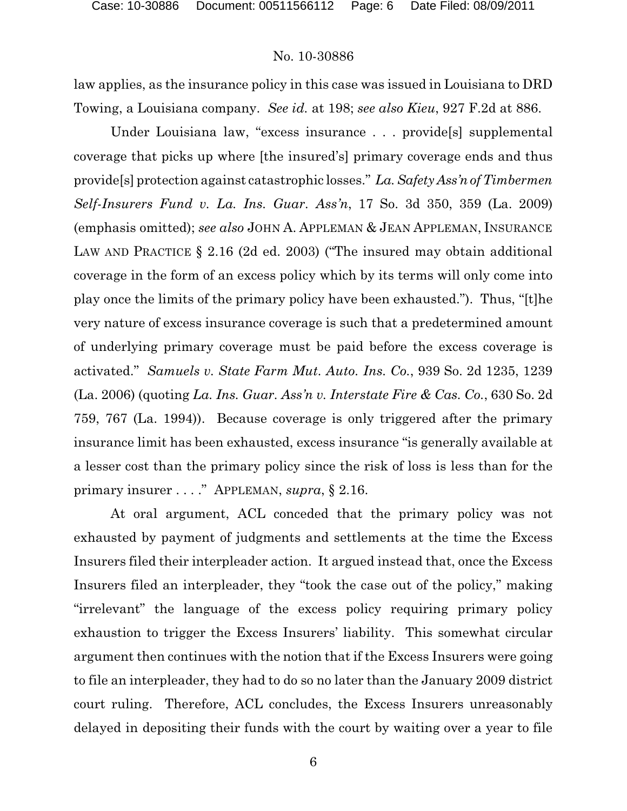law applies, as the insurance policy in this case was issued in Louisiana to DRD Towing, a Louisiana company. *See id.* at 198; *see also Kieu*, 927 F.2d at 886.

Under Louisiana law, "excess insurance . . . provide[s] supplemental coverage that picks up where [the insured's] primary coverage ends and thus provide[s] protection against catastrophic losses." *La.Safety Ass'n ofTimbermen Self-Insurers Fund v. La. Ins. Guar. Ass'n*, 17 So. 3d 350, 359 (La. 2009) (emphasis omitted); *see also* JOHN A. APPLEMAN & JEAN APPLEMAN, INSURANCE LAW AND PRACTICE § 2.16 (2d ed. 2003) ("The insured may obtain additional coverage in the form of an excess policy which by its terms will only come into play once the limits of the primary policy have been exhausted."). Thus, "[t]he very nature of excess insurance coverage is such that a predetermined amount of underlying primary coverage must be paid before the excess coverage is activated." *Samuels v. State Farm Mut. Auto. Ins. Co.*, 939 So. 2d 1235, 1239 (La. 2006) (quoting *La. Ins. Guar. Ass'n v. Interstate Fire & Cas. Co.*, 630 So. 2d 759, 767 (La. 1994)). Because coverage is only triggered after the primary insurance limit has been exhausted, excess insurance "is generally available at a lesser cost than the primary policy since the risk of loss is less than for the primary insurer . . . ." APPLEMAN, *supra*, § 2.16.

At oral argument, ACL conceded that the primary policy was not exhausted by payment of judgments and settlements at the time the Excess Insurers filed their interpleader action. It argued instead that, once the Excess Insurers filed an interpleader, they "took the case out of the policy," making "irrelevant" the language of the excess policy requiring primary policy exhaustion to trigger the Excess Insurers' liability. This somewhat circular argument then continues with the notion that if the Excess Insurers were going to file an interpleader, they had to do so no later than the January 2009 district court ruling. Therefore, ACL concludes, the Excess Insurers unreasonably delayed in depositing their funds with the court by waiting over a year to file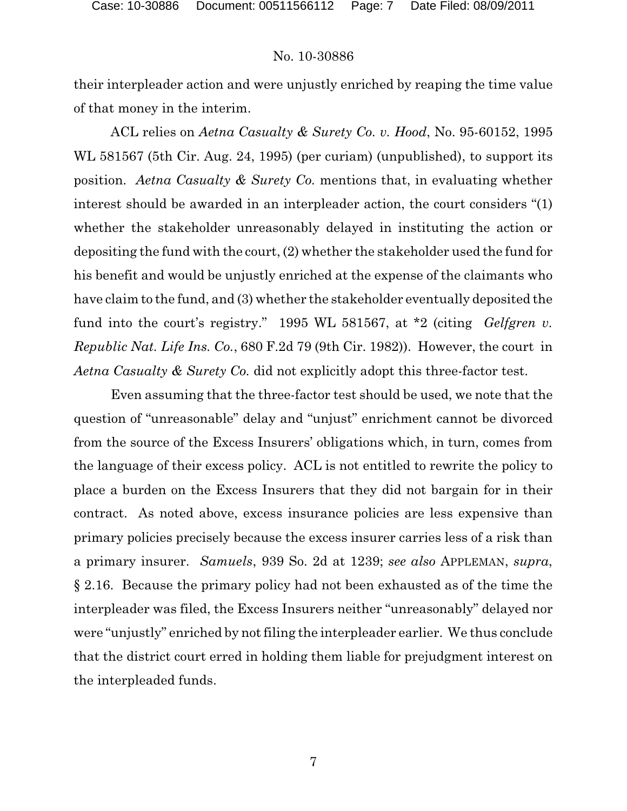their interpleader action and were unjustly enriched by reaping the time value of that money in the interim.

ACL relies on *Aetna Casualty & Surety Co. v. Hood*, No. 95-60152, 1995 WL 581567 (5th Cir. Aug. 24, 1995) (per curiam) (unpublished), to support its position. *Aetna Casualty & Surety Co.* mentions that, in evaluating whether interest should be awarded in an interpleader action, the court considers "(1) whether the stakeholder unreasonably delayed in instituting the action or depositing the fund with the court, (2) whether the stakeholder used the fund for his benefit and would be unjustly enriched at the expense of the claimants who have claim to the fund, and (3) whether the stakeholder eventually deposited the fund into the court's registry." 1995 WL 581567, at \*2 (citing *Gelfgren v. Republic Nat. Life Ins. Co.*, 680 F.2d 79 (9th Cir. 1982)). However, the court in *Aetna Casualty & Surety Co.* did not explicitly adopt this three-factor test.

Even assuming that the three-factor test should be used, we note that the question of "unreasonable" delay and "unjust" enrichment cannot be divorced from the source of the Excess Insurers' obligations which, in turn, comes from the language of their excess policy. ACL is not entitled to rewrite the policy to place a burden on the Excess Insurers that they did not bargain for in their contract. As noted above, excess insurance policies are less expensive than primary policies precisely because the excess insurer carries less of a risk than a primary insurer. *Samuels*, 939 So. 2d at 1239; *see also* APPLEMAN, *supra*, § 2.16. Because the primary policy had not been exhausted as of the time the interpleader was filed, the Excess Insurers neither "unreasonably" delayed nor were "unjustly" enriched by not filing the interpleader earlier. We thus conclude that the district court erred in holding them liable for prejudgment interest on the interpleaded funds.